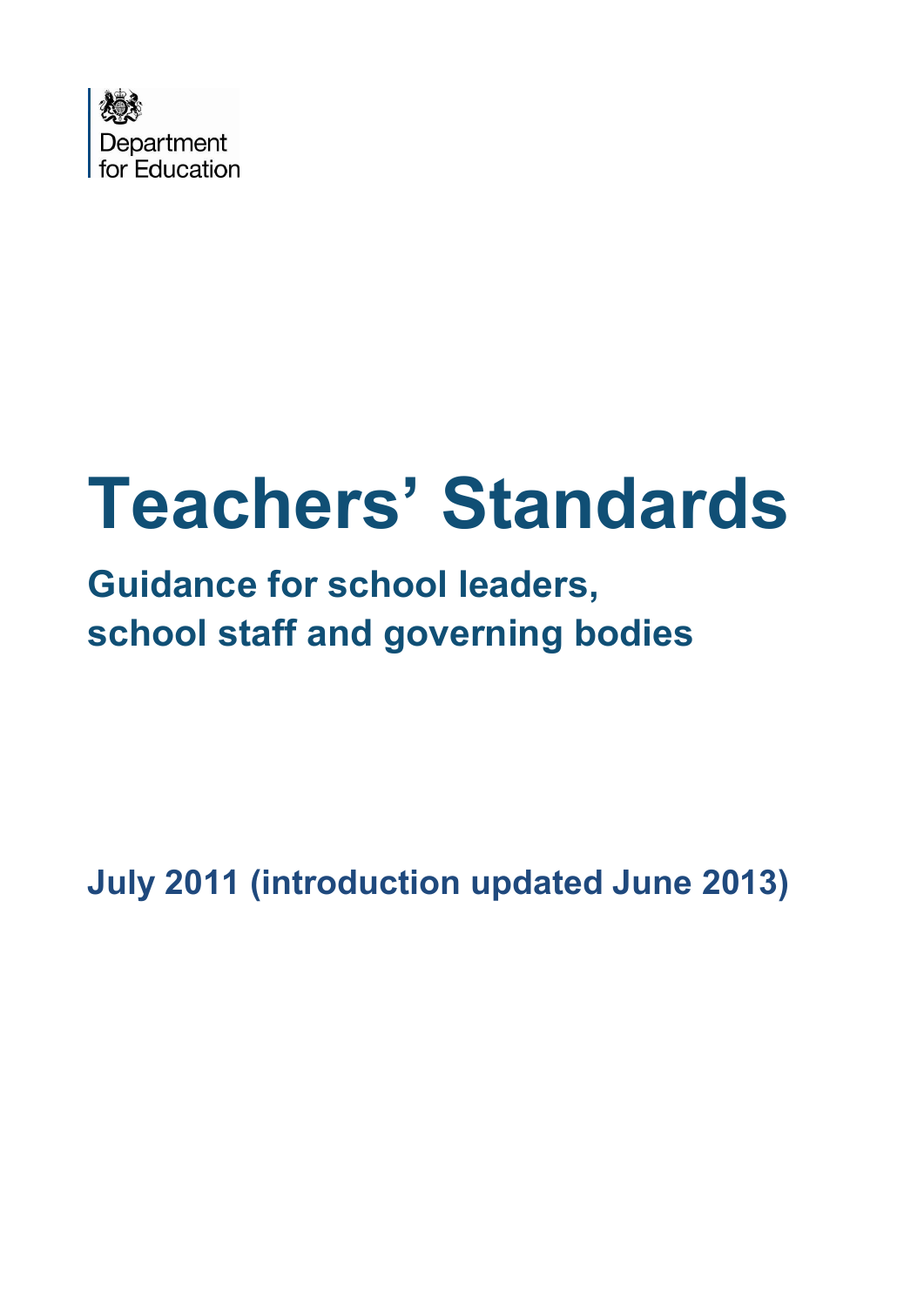

# **Teachers' Standards**

# **Guidance for school leaders, school staff and governing bodies**

# **July 2011 (introduction updated June 2013)**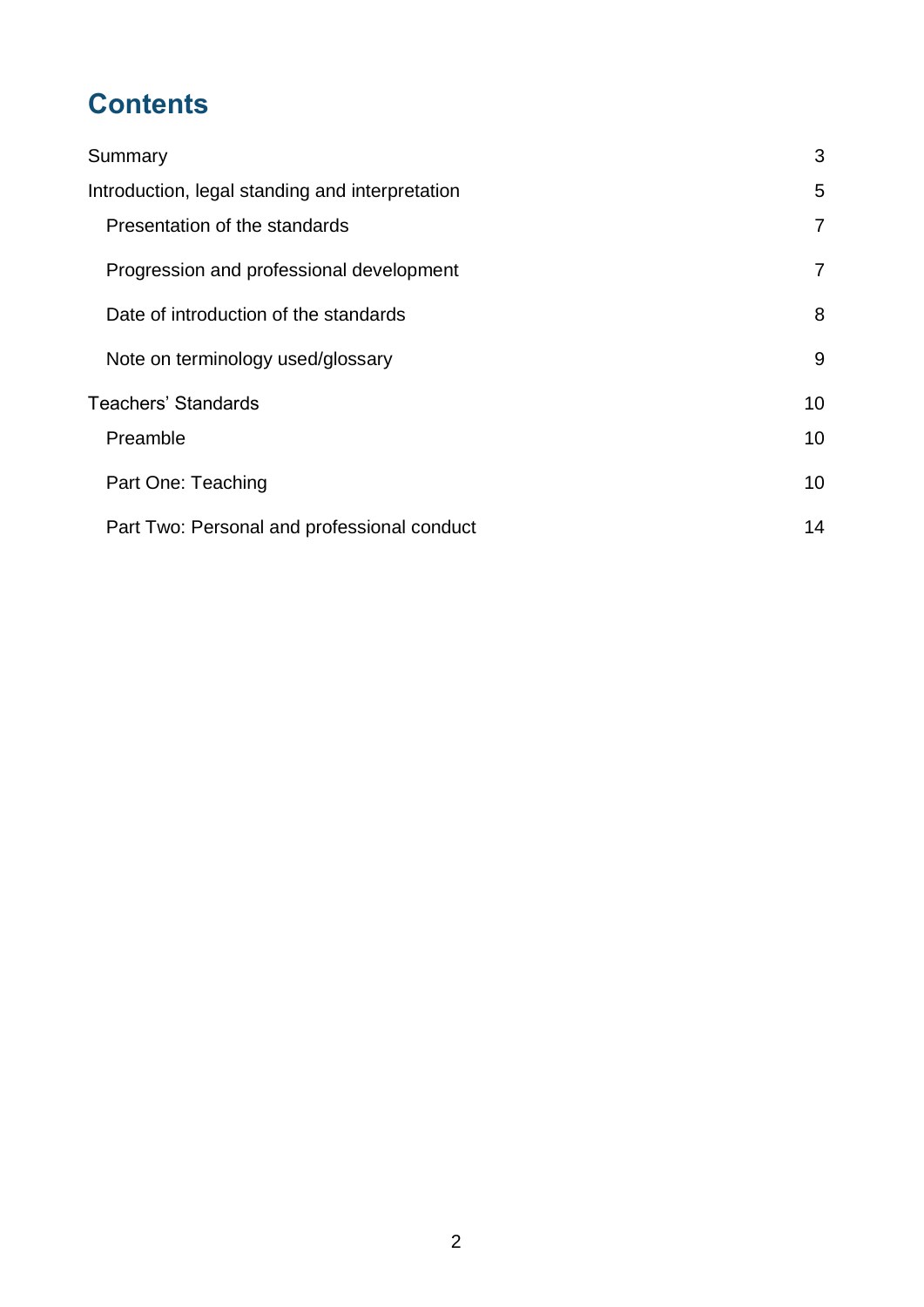# **Contents**

| Summary                                         | 3              |
|-------------------------------------------------|----------------|
| Introduction, legal standing and interpretation | 5              |
| Presentation of the standards                   | $\overline{7}$ |
| Progression and professional development        | $\overline{7}$ |
| Date of introduction of the standards           | 8              |
| Note on terminology used/glossary               | 9              |
| <b>Teachers' Standards</b>                      | 10             |
| Preamble                                        | 10             |
| Part One: Teaching                              | 10             |
| Part Two: Personal and professional conduct     | 14             |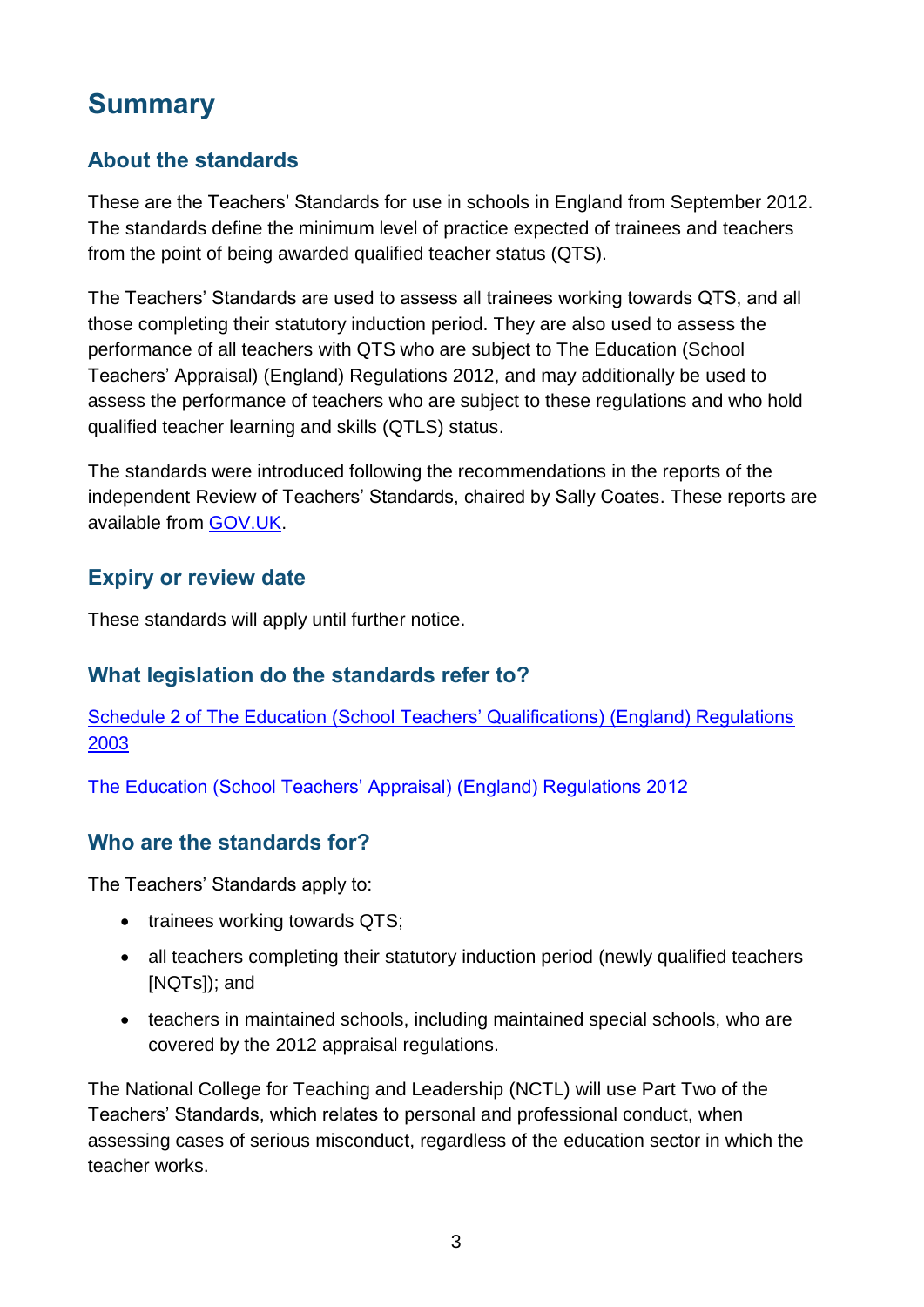# <span id="page-2-0"></span>**Summary**

### **About the standards**

These are the Teachers' Standards for use in schools in England from September 2012. The standards define the minimum level of practice expected of trainees and teachers from the point of being awarded qualified teacher status (QTS).

The Teachers' Standards are used to assess all trainees working towards QTS, and all those completing their statutory induction period. They are also used to assess the performance of all teachers with QTS who are subject to The Education (School Teachers' Appraisal) (England) Regulations 2012, and may additionally be used to assess the performance of teachers who are subject to these regulations and who hold qualified teacher learning and skills (QTLS) status.

The standards were introduced following the recommendations in the reports of the independent Review of Teachers' Standards, chaired by Sally Coates. These reports are available from [GOV.UK.](https://www.gov.uk/government/collections/teachers-standards)

#### **Expiry or review date**

These standards will apply until further notice.

#### **What legislation do the standards refer to?**

[Schedule 2 of The Education \(School Teachers' Qualifications\) \(England\) Regulations](http://www.legislation.gov.uk/uksi/2003/1662/schedule/2/made)  [2003](http://www.legislation.gov.uk/uksi/2003/1662/schedule/2/made)

[The Education \(School Teachers' Appraisal\) \(England\) Regulations 2012](http://www.legislation.gov.uk/uksi/2012/115/contents/made)

#### **Who are the standards for?**

The Teachers' Standards apply to:

- trainees working towards QTS;
- all teachers completing their statutory induction period (newly qualified teachers [NQTs]); and
- teachers in maintained schools, including maintained special schools, who are covered by the 2012 appraisal regulations.

The National College for Teaching and Leadership (NCTL) will use Part Two of the Teachers' Standards, which relates to personal and professional conduct, when assessing cases of serious misconduct, regardless of the education sector in which the teacher works.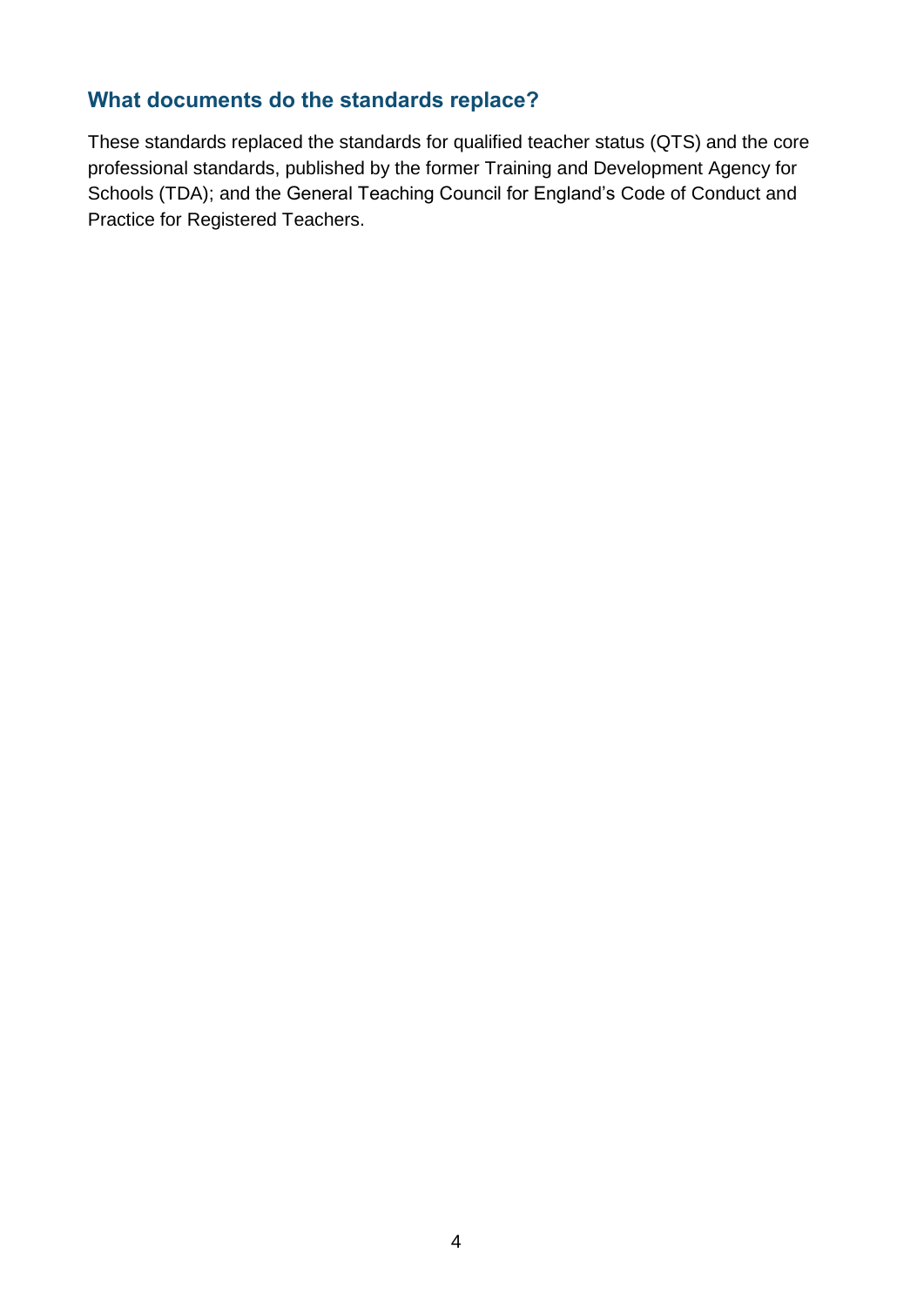### **What documents do the standards replace?**

These standards replaced the standards for qualified teacher status (QTS) and the core professional standards, published by the former Training and Development Agency for Schools (TDA); and the General Teaching Council for England's Code of Conduct and Practice for Registered Teachers.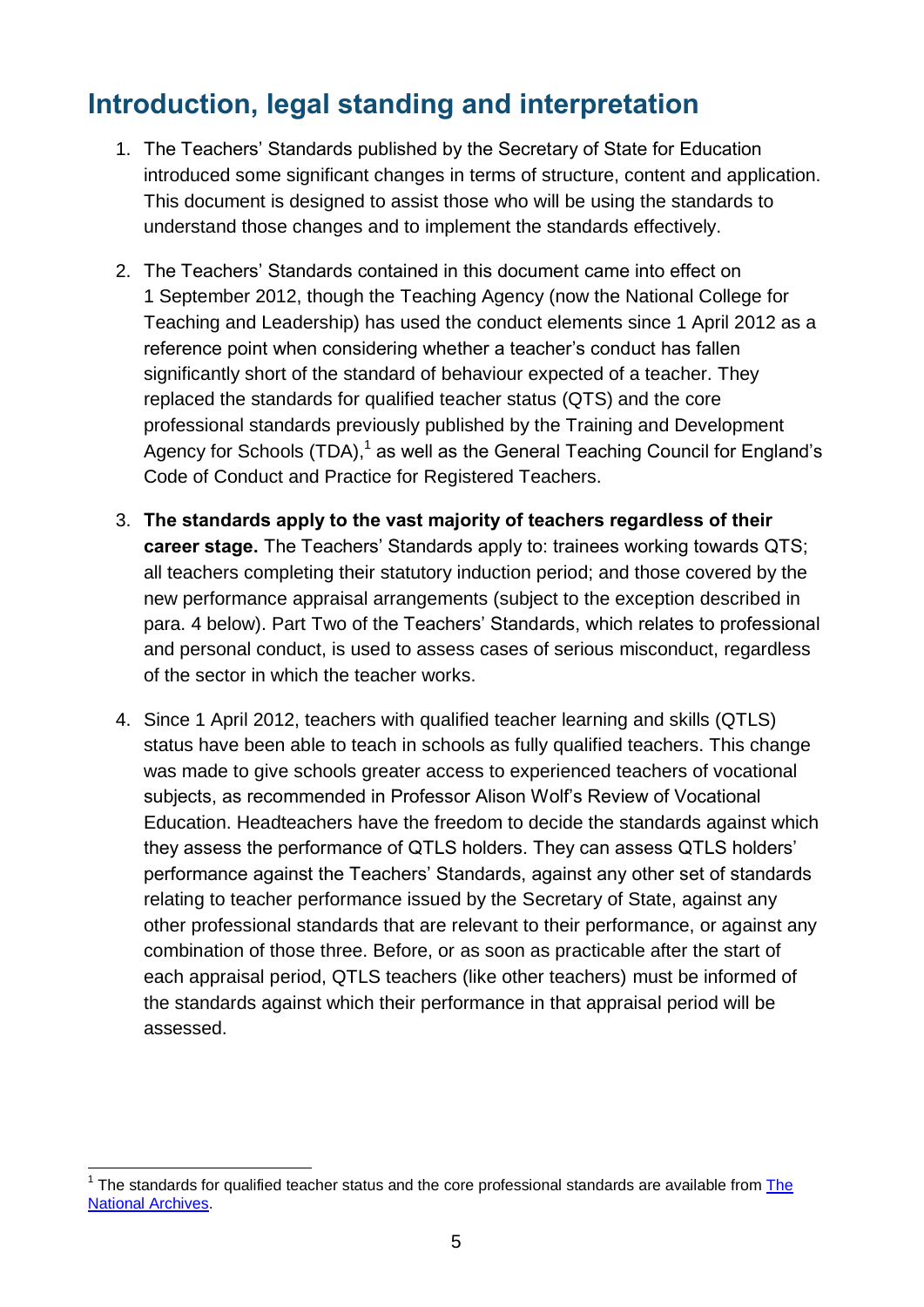# <span id="page-4-0"></span>**Introduction, legal standing and interpretation**

- 1. The Teachers' Standards published by the Secretary of State for Education introduced some significant changes in terms of structure, content and application. This document is designed to assist those who will be using the standards to understand those changes and to implement the standards effectively.
- 2. The Teachers' Standards contained in this document came into effect on 1 September 2012, though the Teaching Agency (now the National College for Teaching and Leadership) has used the conduct elements since 1 April 2012 as a reference point when considering whether a teacher's conduct has fallen significantly short of the standard of behaviour expected of a teacher. They replaced the standards for qualified teacher status (QTS) and the core professional standards previously published by the Training and Development Agency for Schools  $(TDA)$ ,<sup>1</sup> as well as the General Teaching Council for England's Code of Conduct and Practice for Registered Teachers.
- 3. **The standards apply to the vast majority of teachers regardless of their career stage.** The Teachers' Standards apply to: trainees working towards QTS; all teachers completing their statutory induction period; and those covered by the new performance appraisal arrangements (subject to the exception described in para. 4 below). Part Two of the Teachers' Standards, which relates to professional and personal conduct, is used to assess cases of serious misconduct, regardless of the sector in which the teacher works.
- 4. Since 1 April 2012, teachers with qualified teacher learning and skills (QTLS) status have been able to teach in schools as fully qualified teachers. This change was made to give schools greater access to experienced teachers of vocational subjects, as recommended in Professor Alison Wolf's Review of Vocational Education. Headteachers have the freedom to decide the standards against which they assess the performance of QTLS holders. They can assess QTLS holders' performance against the Teachers' Standards, against any other set of standards relating to teacher performance issued by the Secretary of State, against any other professional standards that are relevant to their performance, or against any combination of those three. Before, or as soon as practicable after the start of each appraisal period, QTLS teachers (like other teachers) must be informed of the standards against which their performance in that appraisal period will be assessed.

<sup>1</sup>  $1$  [The](http://webarchive.nationalarchives.gov.uk/20111218081624/tda.gov.uk/teacher/developing-career/professional-standards-guidance.aspx) standards for qualified teacher status and the core professional standards are available from  $\overline{\text{The}}$ [National Archives.](http://webarchive.nationalarchives.gov.uk/20111218081624/tda.gov.uk/teacher/developing-career/professional-standards-guidance.aspx)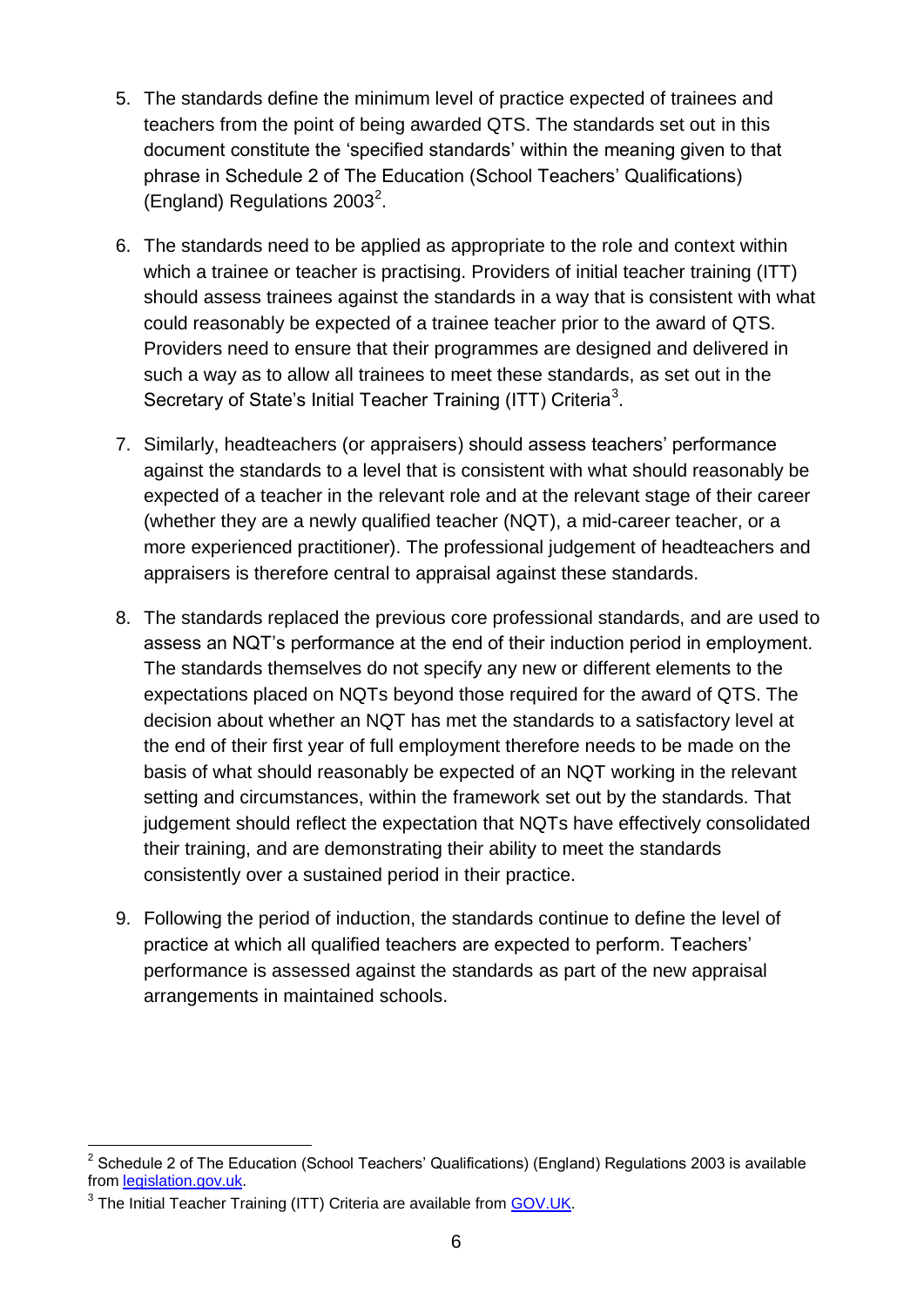- 5. The standards define the minimum level of practice expected of trainees and teachers from the point of being awarded QTS. The standards set out in this document constitute the 'specified standards' within the meaning given to that phrase in Schedule 2 of The Education (School Teachers' Qualifications) (England) Regulations  $2003^2$ .
- 6. The standards need to be applied as appropriate to the role and context within which a trainee or teacher is practising. Providers of initial teacher training (ITT) should assess trainees against the standards in a way that is consistent with what could reasonably be expected of a trainee teacher prior to the award of QTS. Providers need to ensure that their programmes are designed and delivered in such a way as to allow all trainees to meet these standards, as set out in the Secretary of State's Initial Teacher Training (ITT) Criteria<sup>3</sup>.
- 7. Similarly, headteachers (or appraisers) should assess teachers' performance against the standards to a level that is consistent with what should reasonably be expected of a teacher in the relevant role and at the relevant stage of their career (whether they are a newly qualified teacher (NQT), a mid-career teacher, or a more experienced practitioner). The professional judgement of headteachers and appraisers is therefore central to appraisal against these standards.
- 8. The standards replaced the previous core professional standards, and are used to assess an NQT's performance at the end of their induction period in employment. The standards themselves do not specify any new or different elements to the expectations placed on NQTs beyond those required for the award of QTS. The decision about whether an NQT has met the standards to a satisfactory level at the end of their first year of full employment therefore needs to be made on the basis of what should reasonably be expected of an NQT working in the relevant setting and circumstances, within the framework set out by the standards. That judgement should reflect the expectation that NQTs have effectively consolidated their training, and are demonstrating their ability to meet the standards consistently over a sustained period in their practice.
- 9. Following the period of induction, the standards continue to define the level of practice at which all qualified teachers are expected to perform. Teachers' performance is assessed against the standards as part of the new appraisal arrangements in maintained schools.

 $\overline{a}$ <sup>2</sup> Schedule 2 of The Education (School Teachers' Qualifications) (England) Regulations 2003 is available from [legislation.gov.uk.](http://www.legislation.gov.uk/uksi/2003/1662/contents/made)

<sup>&</sup>lt;sup>3</sup> The Initial Teacher Training (ITT) Criteria are available from **GOV.UK**.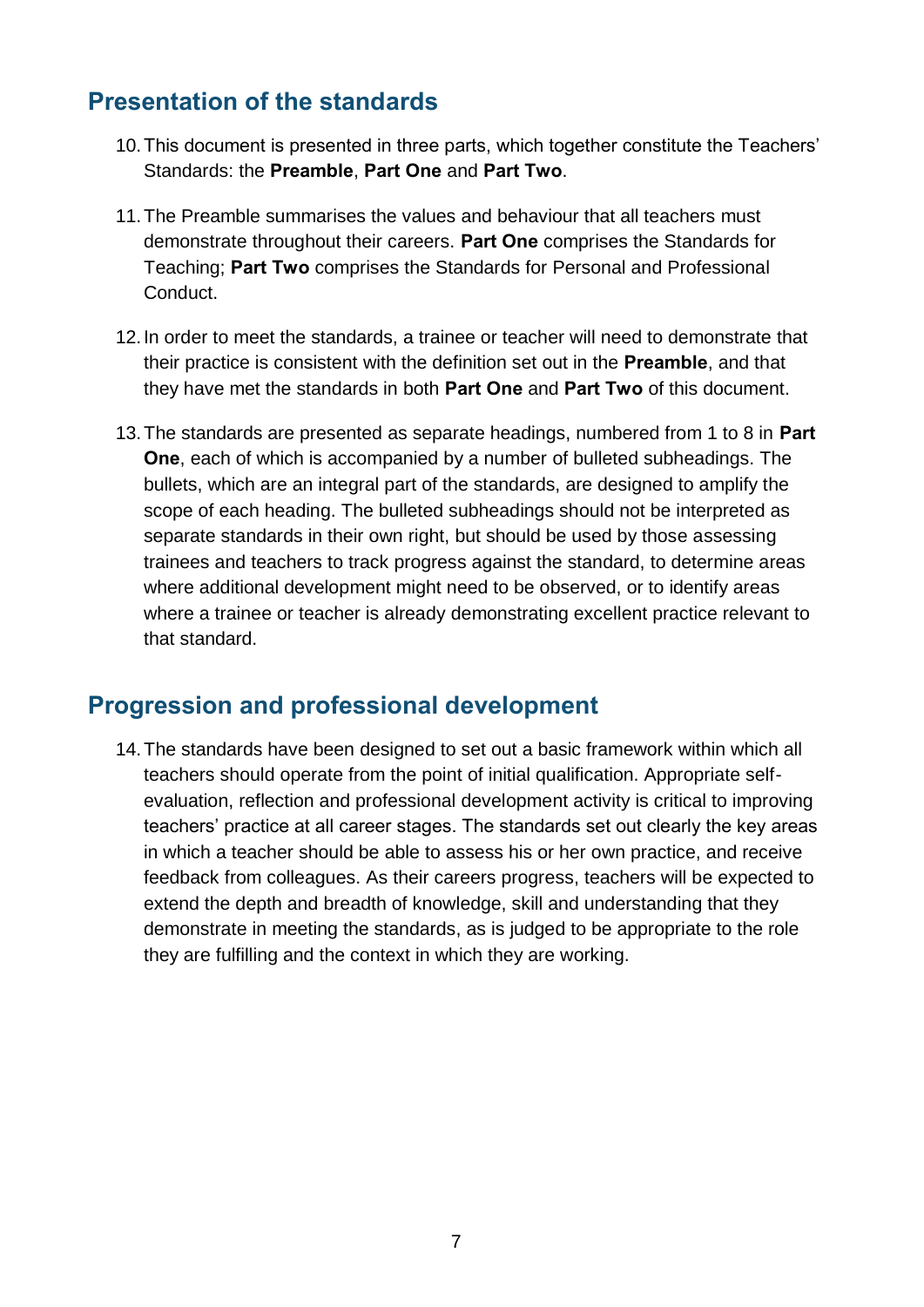## <span id="page-6-0"></span>**Presentation of the standards**

- 10.This document is presented in three parts, which together constitute the Teachers' Standards: the **Preamble**, **Part One** and **Part Two**.
- 11. The Preamble summarises the values and behaviour that all teachers must demonstrate throughout their careers. **Part One** comprises the Standards for Teaching; **Part Two** comprises the Standards for Personal and Professional Conduct.
- 12. In order to meet the standards, a trainee or teacher will need to demonstrate that their practice is consistent with the definition set out in the **Preamble**, and that they have met the standards in both **Part One** and **Part Two** of this document.
- 13. The standards are presented as separate headings, numbered from 1 to 8 in **Part One**, each of which is accompanied by a number of bulleted subheadings. The bullets, which are an integral part of the standards, are designed to amplify the scope of each heading. The bulleted subheadings should not be interpreted as separate standards in their own right, but should be used by those assessing trainees and teachers to track progress against the standard, to determine areas where additional development might need to be observed, or to identify areas where a trainee or teacher is already demonstrating excellent practice relevant to that standard.

### <span id="page-6-1"></span>**Progression and professional development**

14. The standards have been designed to set out a basic framework within which all teachers should operate from the point of initial qualification. Appropriate selfevaluation, reflection and professional development activity is critical to improving teachers' practice at all career stages. The standards set out clearly the key areas in which a teacher should be able to assess his or her own practice, and receive feedback from colleagues. As their careers progress, teachers will be expected to extend the depth and breadth of knowledge, skill and understanding that they demonstrate in meeting the standards, as is judged to be appropriate to the role they are fulfilling and the context in which they are working.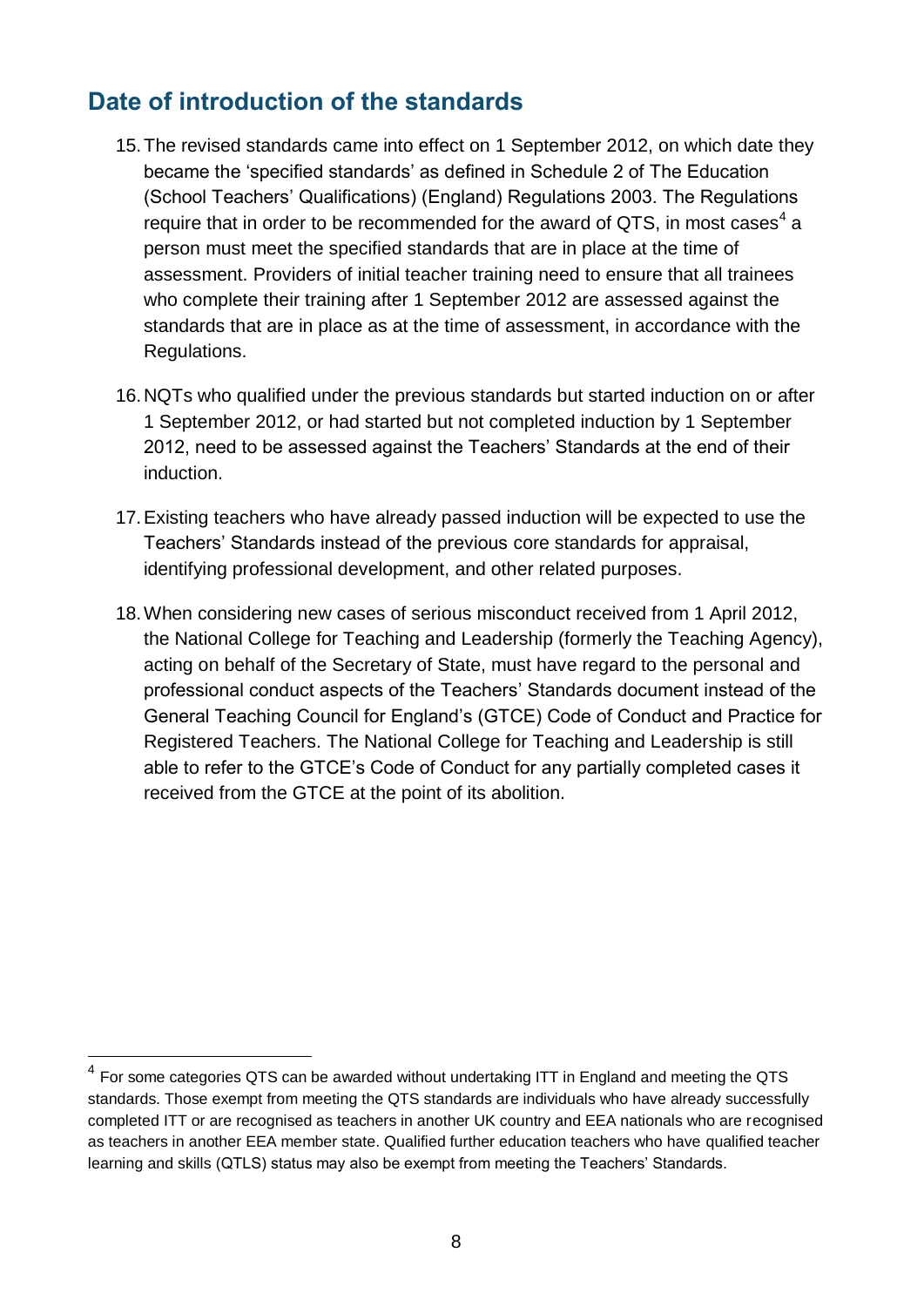## <span id="page-7-0"></span>**Date of introduction of the standards**

- 15. The revised standards came into effect on 1 September 2012, on which date they became the 'specified standards' as defined in Schedule 2 of The Education (School Teachers' Qualifications) (England) Regulations 2003. The Regulations require that in order to be recommended for the award of QTS, in most cases<sup>4</sup> a person must meet the specified standards that are in place at the time of assessment. Providers of initial teacher training need to ensure that all trainees who complete their training after 1 September 2012 are assessed against the standards that are in place as at the time of assessment, in accordance with the Regulations.
- 16. NQTs who qualified under the previous standards but started induction on or after 1 September 2012, or had started but not completed induction by 1 September 2012, need to be assessed against the Teachers' Standards at the end of their induction.
- 17. Existing teachers who have already passed induction will be expected to use the Teachers' Standards instead of the previous core standards for appraisal, identifying professional development, and other related purposes.
- 18. When considering new cases of serious misconduct received from 1 April 2012, the National College for Teaching and Leadership (formerly the Teaching Agency), acting on behalf of the Secretary of State, must have regard to the personal and professional conduct aspects of the Teachers' Standards document instead of the General Teaching Council for England's (GTCE) Code of Conduct and Practice for Registered Teachers. The National College for Teaching and Leadership is still able to refer to the GTCE's Code of Conduct for any partially completed cases it received from the GTCE at the point of its abolition.

 $\overline{a}$ 

 $4$  For some categories QTS can be awarded without undertaking ITT in England and meeting the QTS standards. Those exempt from meeting the QTS standards are individuals who have already successfully completed ITT or are recognised as teachers in another UK country and EEA nationals who are recognised as teachers in another EEA member state. Qualified further education teachers who have qualified teacher learning and skills (QTLS) status may also be exempt from meeting the Teachers' Standards.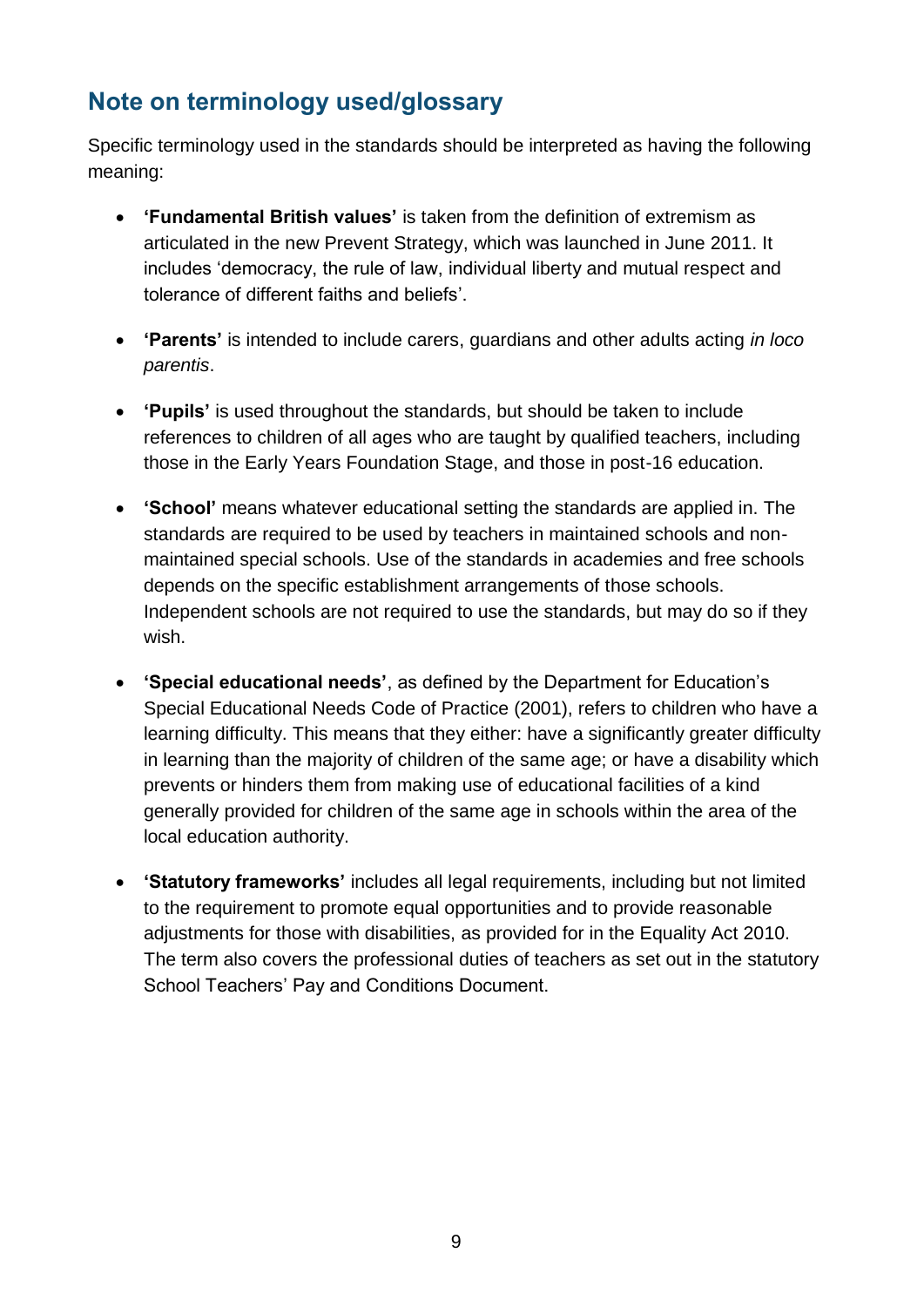# <span id="page-8-0"></span>**Note on terminology used/glossary**

Specific terminology used in the standards should be interpreted as having the following meaning:

- **'Fundamental British values'** is taken from the definition of extremism as articulated in the new Prevent Strategy, which was launched in June 2011. It includes 'democracy, the rule of law, individual liberty and mutual respect and tolerance of different faiths and beliefs'.
- **'Parents'** is intended to include carers, guardians and other adults acting *in loco parentis*.
- **'Pupils'** is used throughout the standards, but should be taken to include references to children of all ages who are taught by qualified teachers, including those in the Early Years Foundation Stage, and those in post-16 education.
- **'School'** means whatever educational setting the standards are applied in. The standards are required to be used by teachers in maintained schools and nonmaintained special schools. Use of the standards in academies and free schools depends on the specific establishment arrangements of those schools. Independent schools are not required to use the standards, but may do so if they wish.
- **'Special educational needs'**, as defined by the Department for Education's Special Educational Needs Code of Practice (2001), refers to children who have a learning difficulty. This means that they either: have a significantly greater difficulty in learning than the majority of children of the same age; or have a disability which prevents or hinders them from making use of educational facilities of a kind generally provided for children of the same age in schools within the area of the local education authority.
- **'Statutory frameworks'** includes all legal requirements, including but not limited to the requirement to promote equal opportunities and to provide reasonable adjustments for those with disabilities, as provided for in the Equality Act 2010. The term also covers the professional duties of teachers as set out in the statutory School Teachers' Pay and Conditions Document.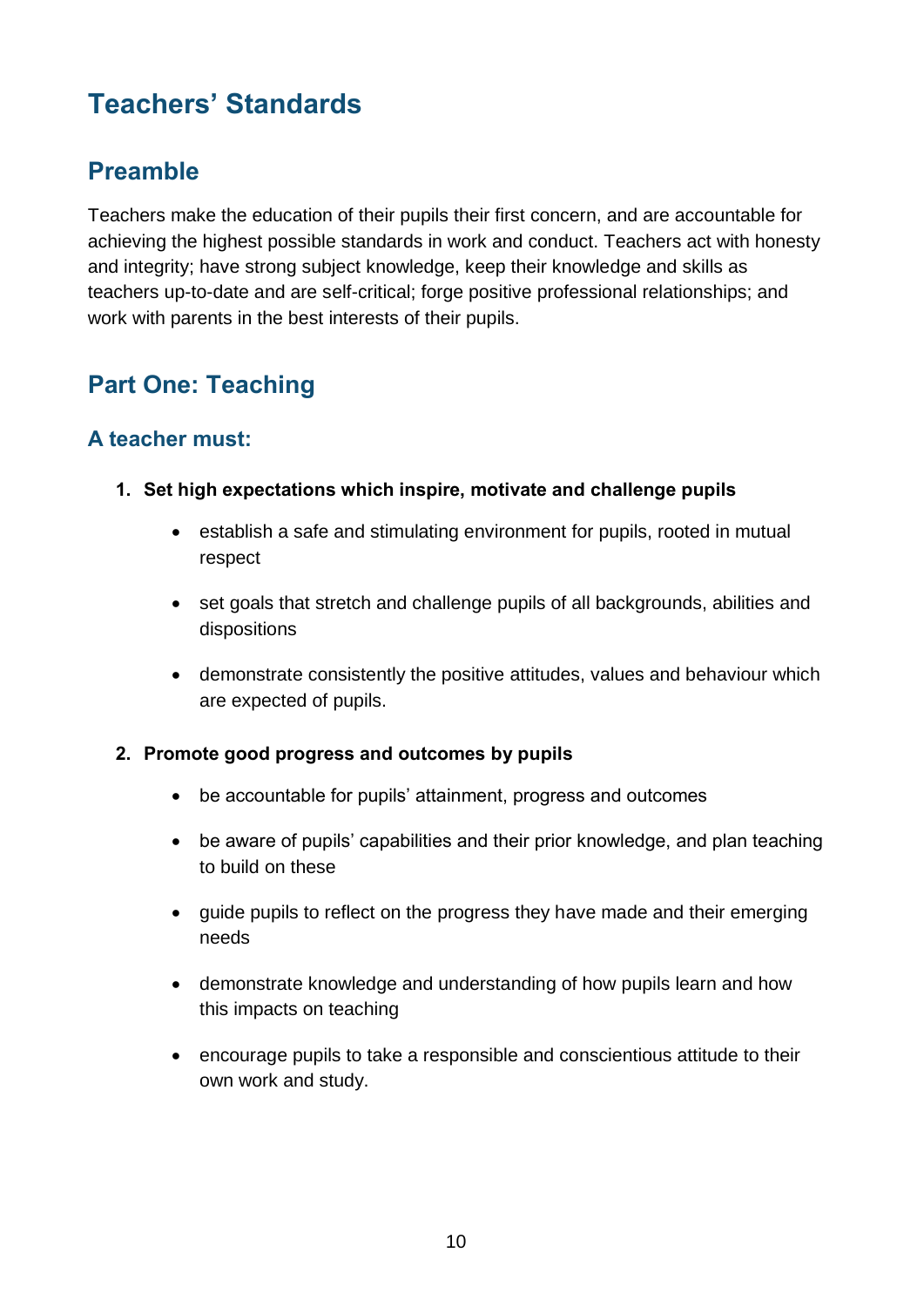# <span id="page-9-0"></span>**Teachers' Standards**

# <span id="page-9-1"></span>**Preamble**

Teachers make the education of their pupils their first concern, and are accountable for achieving the highest possible standards in work and conduct. Teachers act with honesty and integrity; have strong subject knowledge, keep their knowledge and skills as teachers up-to-date and are self-critical; forge positive professional relationships; and work with parents in the best interests of their pupils.

# <span id="page-9-2"></span>**Part One: Teaching**

#### **A teacher must:**

- **1. Set high expectations which inspire, motivate and challenge pupils** 
	- establish a safe and stimulating environment for pupils, rooted in mutual respect
	- set goals that stretch and challenge pupils of all backgrounds, abilities and dispositions
	- demonstrate consistently the positive attitudes, values and behaviour which are expected of pupils.

#### **2. Promote good progress and outcomes by pupils**

- be accountable for pupils' attainment, progress and outcomes
- be aware of pupils' capabilities and their prior knowledge, and plan teaching to build on these
- guide pupils to reflect on the progress they have made and their emerging needs
- demonstrate knowledge and understanding of how pupils learn and how this impacts on teaching
- encourage pupils to take a responsible and conscientious attitude to their own work and study.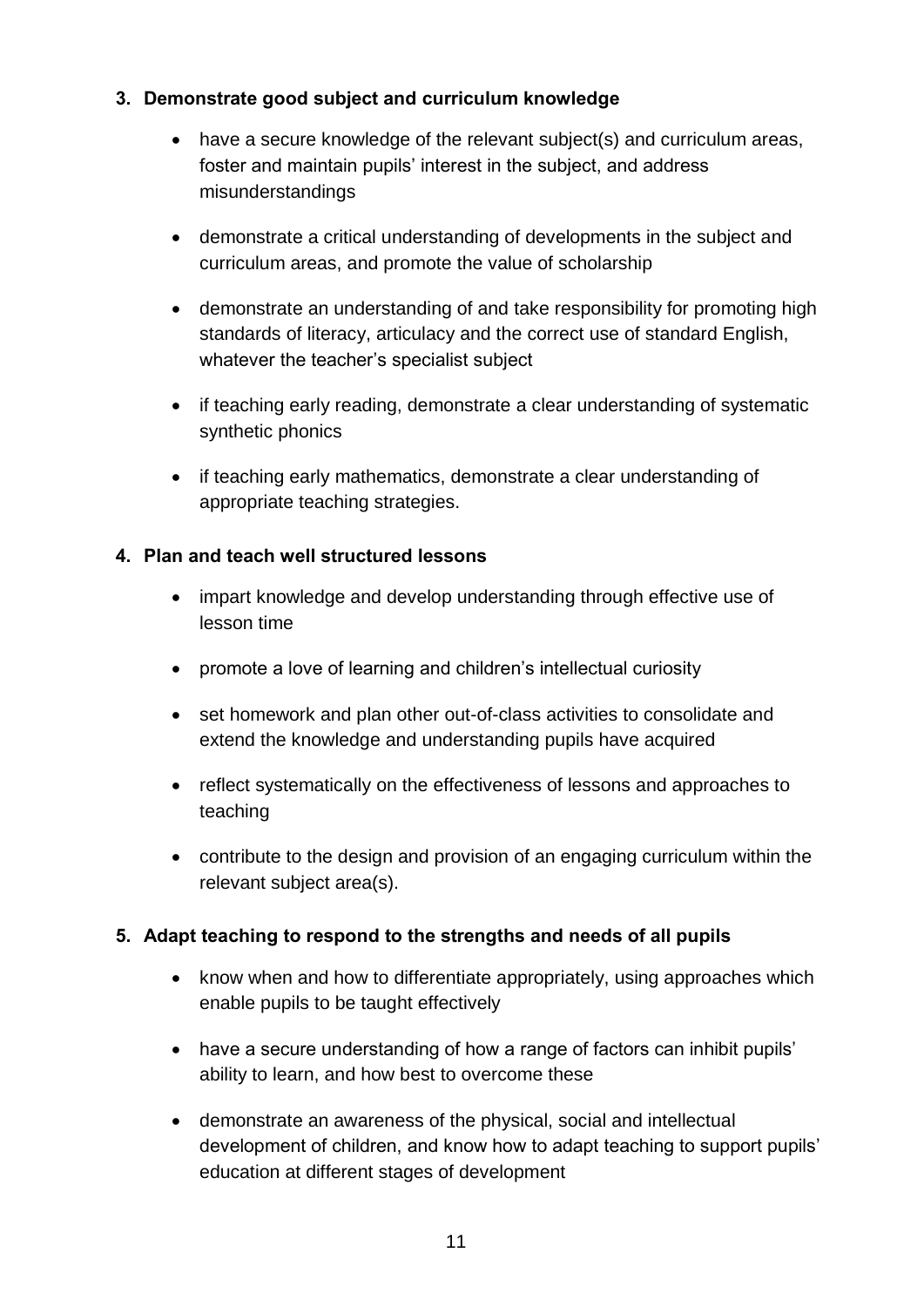#### **3. Demonstrate good subject and curriculum knowledge**

- have a secure knowledge of the relevant subject(s) and curriculum areas, foster and maintain pupils' interest in the subject, and address misunderstandings
- demonstrate a critical understanding of developments in the subject and curriculum areas, and promote the value of scholarship
- demonstrate an understanding of and take responsibility for promoting high standards of literacy, articulacy and the correct use of standard English, whatever the teacher's specialist subject
- if teaching early reading, demonstrate a clear understanding of systematic synthetic phonics
- if teaching early mathematics, demonstrate a clear understanding of appropriate teaching strategies.

#### **4. Plan and teach well structured lessons**

- impart knowledge and develop understanding through effective use of lesson time
- promote a love of learning and children's intellectual curiosity
- set homework and plan other out-of-class activities to consolidate and extend the knowledge and understanding pupils have acquired
- reflect systematically on the effectiveness of lessons and approaches to teaching
- contribute to the design and provision of an engaging curriculum within the relevant subject area(s).

#### **5. Adapt teaching to respond to the strengths and needs of all pupils**

- know when and how to differentiate appropriately, using approaches which enable pupils to be taught effectively
- have a secure understanding of how a range of factors can inhibit pupils' ability to learn, and how best to overcome these
- demonstrate an awareness of the physical, social and intellectual development of children, and know how to adapt teaching to support pupils' education at different stages of development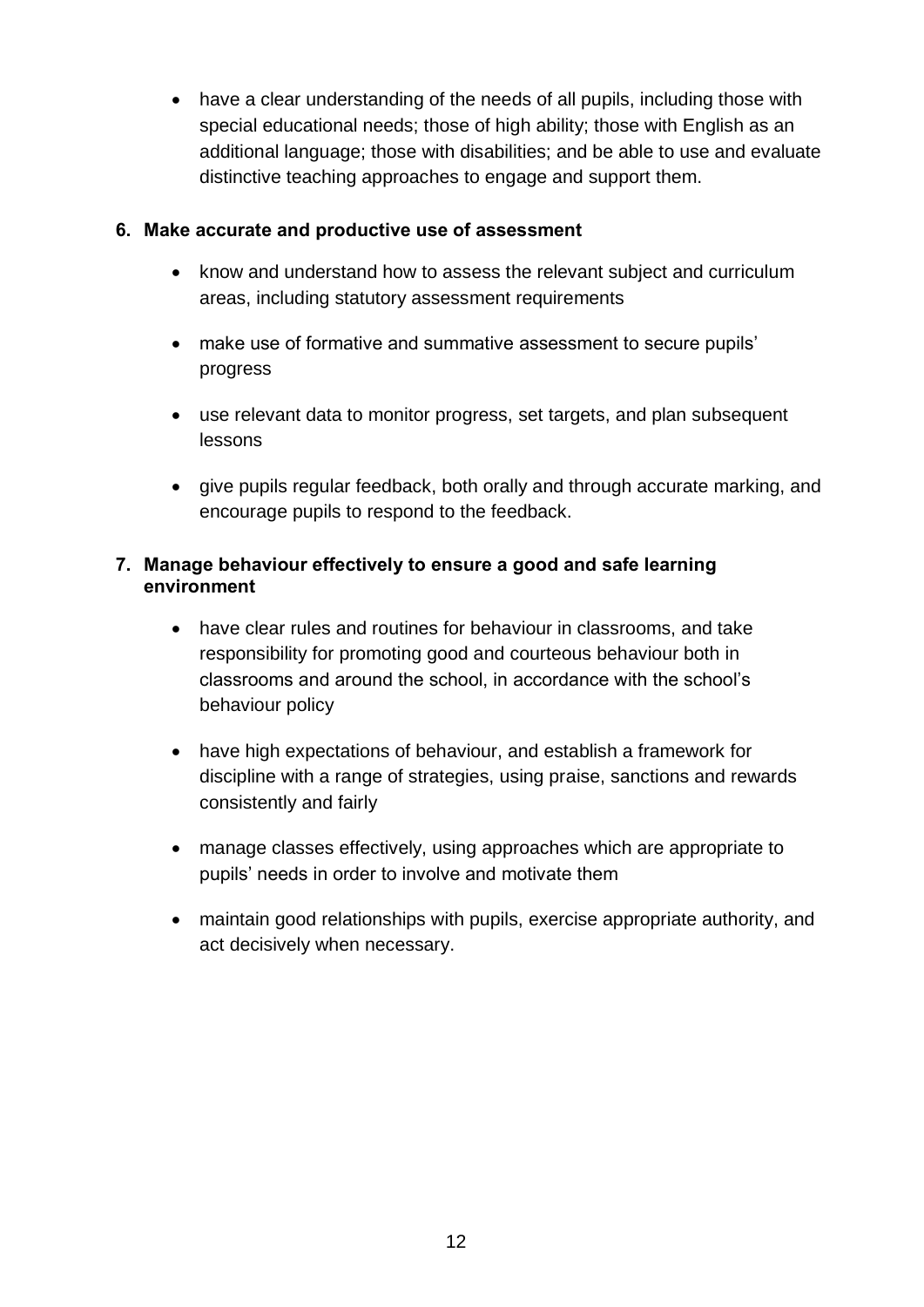have a clear understanding of the needs of all pupils, including those with special educational needs; those of high ability; those with English as an additional language; those with disabilities; and be able to use and evaluate distinctive teaching approaches to engage and support them.

#### **6. Make accurate and productive use of assessment**

- know and understand how to assess the relevant subject and curriculum areas, including statutory assessment requirements
- make use of formative and summative assessment to secure pupils' progress
- use relevant data to monitor progress, set targets, and plan subsequent lessons
- give pupils regular feedback, both orally and through accurate marking, and encourage pupils to respond to the feedback.

#### **7. Manage behaviour effectively to ensure a good and safe learning environment**

- have clear rules and routines for behaviour in classrooms, and take responsibility for promoting good and courteous behaviour both in classrooms and around the school, in accordance with the school's behaviour policy
- have high expectations of behaviour, and establish a framework for discipline with a range of strategies, using praise, sanctions and rewards consistently and fairly
- manage classes effectively, using approaches which are appropriate to pupils' needs in order to involve and motivate them
- maintain good relationships with pupils, exercise appropriate authority, and act decisively when necessary.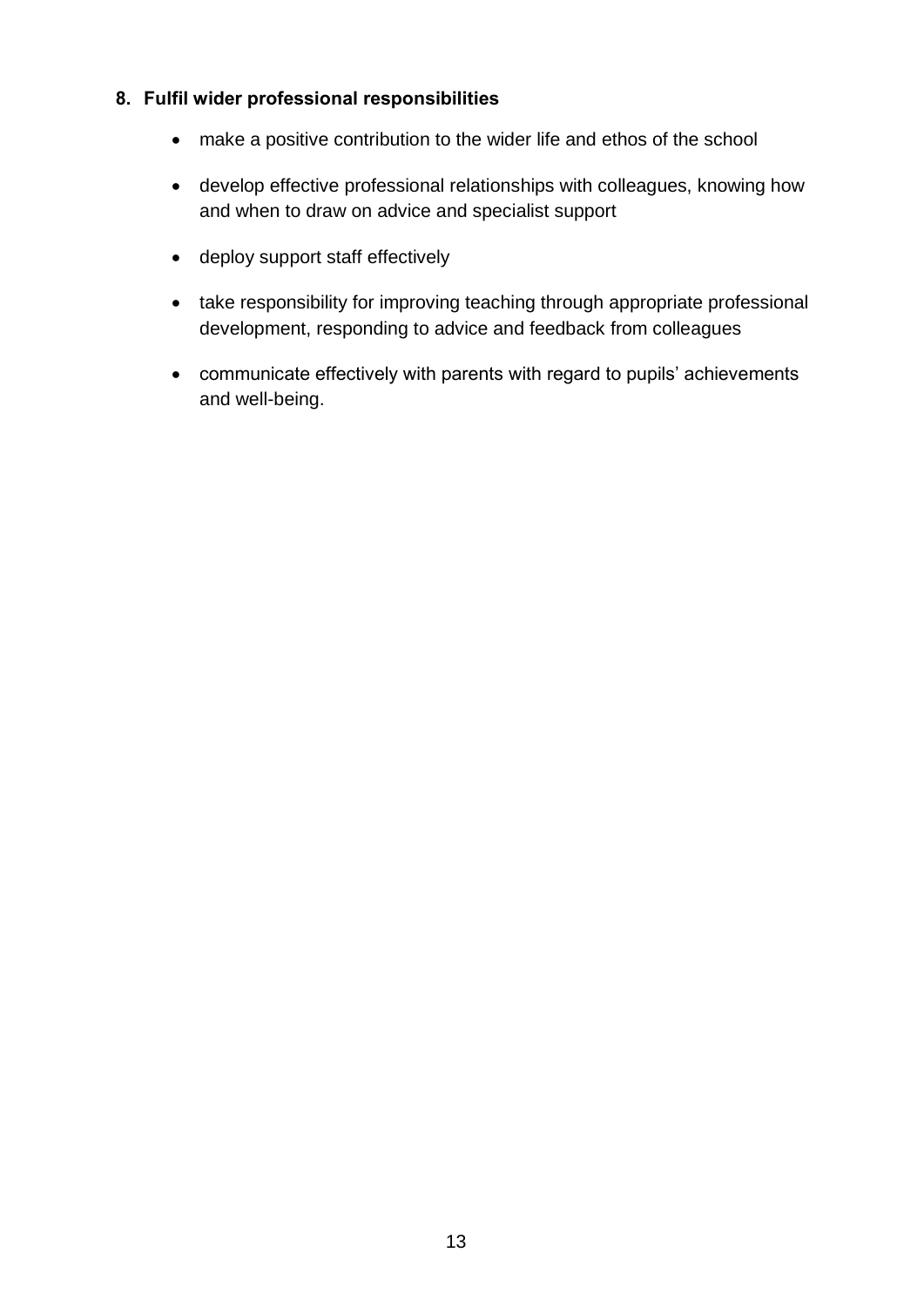#### **8. Fulfil wider professional responsibilities**

- make a positive contribution to the wider life and ethos of the school
- develop effective professional relationships with colleagues, knowing how and when to draw on advice and specialist support
- deploy support staff effectively
- take responsibility for improving teaching through appropriate professional development, responding to advice and feedback from colleagues
- communicate effectively with parents with regard to pupils' achievements and well-being.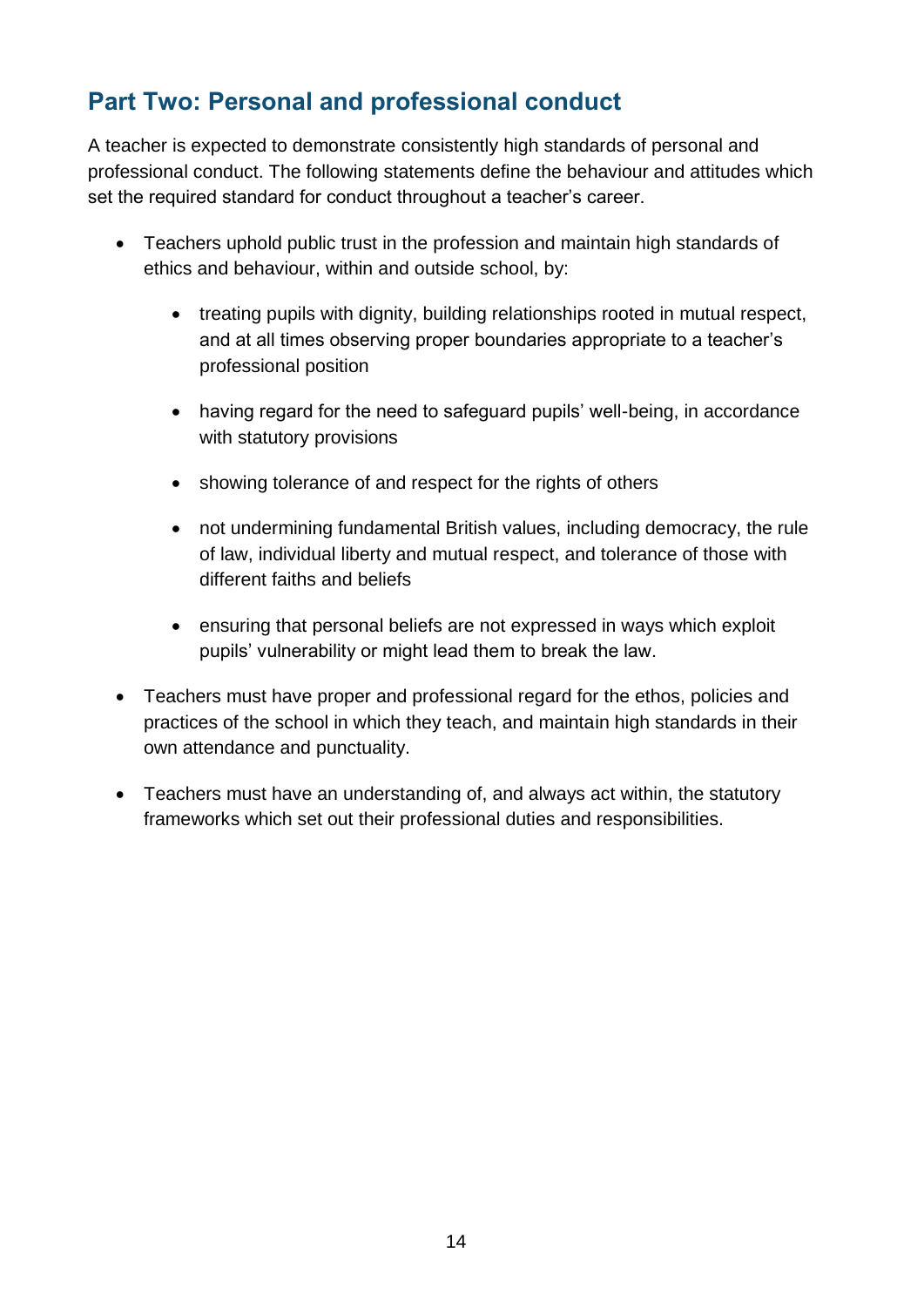# <span id="page-13-0"></span>**Part Two: Personal and professional conduct**

A teacher is expected to demonstrate consistently high standards of personal and professional conduct. The following statements define the behaviour and attitudes which set the required standard for conduct throughout a teacher's career.

- Teachers uphold public trust in the profession and maintain high standards of ethics and behaviour, within and outside school, by:
	- treating pupils with dignity, building relationships rooted in mutual respect, and at all times observing proper boundaries appropriate to a teacher's professional position
	- having regard for the need to safeguard pupils' well-being, in accordance with statutory provisions
	- showing tolerance of and respect for the rights of others
	- not undermining fundamental British values, including democracy, the rule of law, individual liberty and mutual respect, and tolerance of those with different faiths and beliefs
	- ensuring that personal beliefs are not expressed in ways which exploit pupils' vulnerability or might lead them to break the law.
- Teachers must have proper and professional regard for the ethos, policies and practices of the school in which they teach, and maintain high standards in their own attendance and punctuality.
- Teachers must have an understanding of, and always act within, the statutory frameworks which set out their professional duties and responsibilities.